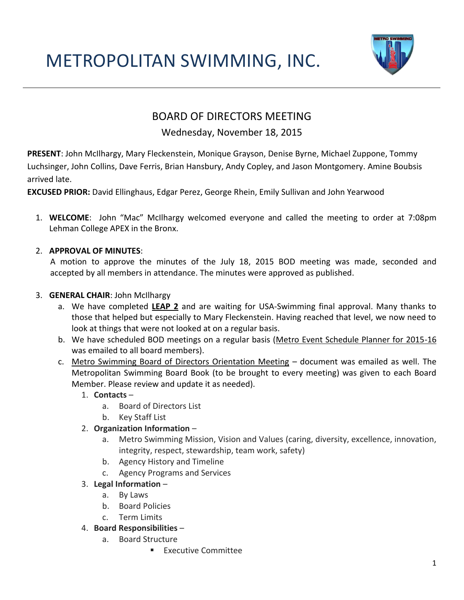# METROPOLITAN SWIMMING, INC.



# BOARD OF DIRECTORS MEETING

# Wednesday, November 18, 2015

**PRESENT**: John McIlhargy, Mary Fleckenstein, Monique Grayson, Denise Byrne, Michael Zuppone, Tommy Luchsinger, John Collins, Dave Ferris, Brian Hansbury, Andy Copley, and Jason Montgomery. Amine Boubsis arrived late.

**EXCUSED PRIOR:** David Ellinghaus, Edgar Perez, George Rhein, Emily Sullivan and John Yearwood

1. **WELCOME**: John "Mac" McIlhargy welcomed everyone and called the meeting to order at 7:08pm Lehman College APEX in the Bronx.

# 2. **APPROVAL OF MINUTES**:

 A motion to approve the minutes of the July 18, 2015 BOD meeting was made, seconded and accepted by all members in attendance. The minutes were approved as published.

# 3. **GENERAL CHAIR**: John McIlhargy

- a. We have completed **LEAP 2** and are waiting for USA-Swimming final approval. Many thanks to those that helped but especially to Mary Fleckenstein. Having reached that level, we now need to look at things that were not looked at on a regular basis.
- b. We have scheduled BOD meetings on a regular basis (Metro Event Schedule Planner for 2015-16 was emailed to all board members).
- c. Metro Swimming Board of Directors Orientation Meeting document was emailed as well. The Metropolitan Swimming Board Book (to be brought to every meeting) was given to each Board Member. Please review and update it as needed).
	- 1. **Contacts**
		- a. Board of Directors List
		- b. Key Staff List

# 2. **Organization Information** –

- a. Metro Swimming Mission, Vision and Values (caring, diversity, excellence, innovation, integrity, respect, stewardship, team work, safety)
- b. Agency History and Timeline
- c. Agency Programs and Services
- 3. **Legal Information**
	- a. By Laws
	- b. Board Policies
	- c. Term Limits
- 4. **Board Responsibilities**
	- a. Board Structure
		- **Executive Committee**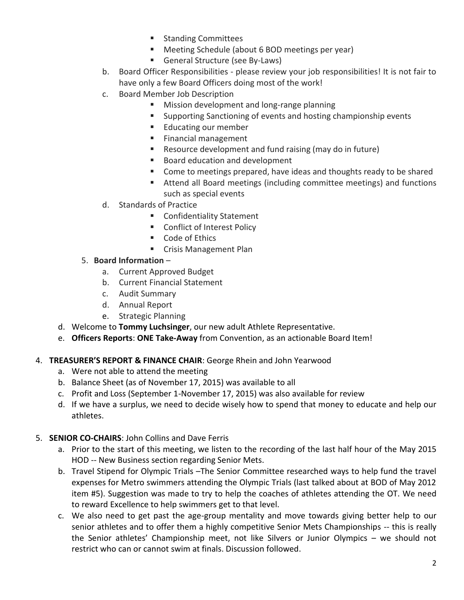- **Standing Committees**
- **Meeting Schedule (about 6 BOD meetings per year)**
- General Structure (see By-Laws)
- b. Board Officer Responsibilities please review your job responsibilities! It is not fair to have only a few Board Officers doing most of the work!
- c. Board Member Job Description
	- **Mission development and long-range planning**
	- Supporting Sanctioning of events and hosting championship events
	- **Educating our member**
	- **Financial management**
	- Resource development and fund raising (may do in future)
	- **Board education and development**
	- Come to meetings prepared, have ideas and thoughts ready to be shared
	- Attend all Board meetings (including committee meetings) and functions such as special events
- d. Standards of Practice
	- **EXECONFERENT CONFIDENTI**
	- **EXECONFLUE CONFLICT CONFLICT**
	- Code of Ethics
	- **Crisis Management Plan**

#### 5. **Board Information** –

- a. Current Approved Budget
- b. Current Financial Statement
- c. Audit Summary
- d. Annual Report
- e. Strategic Planning
- d. Welcome to **Tommy Luchsinger**, our new adult Athlete Representative.
- e. **Officers Reports**: **ONE Take-Away** from Convention, as an actionable Board Item!

#### 4. **TREASURER'S REPORT & FINANCE CHAIR**: George Rhein and John Yearwood

- a. Were not able to attend the meeting
- b. Balance Sheet (as of November 17, 2015) was available to all
- c. Profit and Loss (September 1-November 17, 2015) was also available for review
- d. If we have a surplus, we need to decide wisely how to spend that money to educate and help our athletes.

#### 5. **SENIOR CO-CHAIRS**: John Collins and Dave Ferris

- a. Prior to the start of this meeting, we listen to the recording of the last half hour of the May 2015 HOD -- New Business section regarding Senior Mets.
- b. Travel Stipend for Olympic Trials –The Senior Committee researched ways to help fund the travel expenses for Metro swimmers attending the Olympic Trials (last talked about at BOD of May 2012 item #5). Suggestion was made to try to help the coaches of athletes attending the OT. We need to reward Excellence to help swimmers get to that level.
- c. We also need to get past the age-group mentality and move towards giving better help to our senior athletes and to offer them a highly competitive Senior Mets Championships -- this is really the Senior athletes' Championship meet, not like Silvers or Junior Olympics – we should not restrict who can or cannot swim at finals. Discussion followed.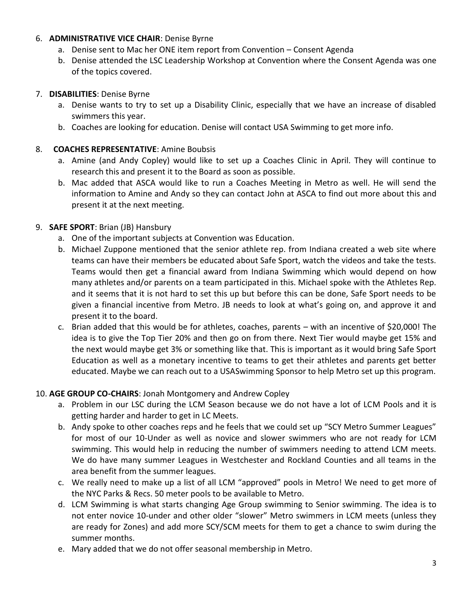#### 6. **ADMINISTRATIVE VICE CHAIR**: Denise Byrne

- a. Denise sent to Mac her ONE item report from Convention Consent Agenda
- b. Denise attended the LSC Leadership Workshop at Convention where the Consent Agenda was one of the topics covered.

#### 7. **DISABILITIES**: Denise Byrne

- a. Denise wants to try to set up a Disability Clinic, especially that we have an increase of disabled swimmers this year.
- b. Coaches are looking for education. Denise will contact USA Swimming to get more info.

#### 8. **COACHES REPRESENTATIVE**: Amine Boubsis

- a. Amine (and Andy Copley) would like to set up a Coaches Clinic in April. They will continue to research this and present it to the Board as soon as possible.
- b. Mac added that ASCA would like to run a Coaches Meeting in Metro as well. He will send the information to Amine and Andy so they can contact John at ASCA to find out more about this and present it at the next meeting.

# 9. **SAFE SPORT**: Brian (JB) Hansbury

- a. One of the important subjects at Convention was Education.
- b. Michael Zuppone mentioned that the senior athlete rep. from Indiana created a web site where teams can have their members be educated about Safe Sport, watch the videos and take the tests. Teams would then get a financial award from Indiana Swimming which would depend on how many athletes and/or parents on a team participated in this. Michael spoke with the Athletes Rep. and it seems that it is not hard to set this up but before this can be done, Safe Sport needs to be given a financial incentive from Metro. JB needs to look at what's going on, and approve it and present it to the board.
- c. Brian added that this would be for athletes, coaches, parents with an incentive of \$20,000! The idea is to give the Top Tier 20% and then go on from there. Next Tier would maybe get 15% and the next would maybe get 3% or something like that. This is important as it would bring Safe Sport Education as well as a monetary incentive to teams to get their athletes and parents get better educated. Maybe we can reach out to a USASwimming Sponsor to help Metro set up this program.

# 10. **AGE GROUP CO-CHAIRS**: Jonah Montgomery and Andrew Copley

- a. Problem in our LSC during the LCM Season because we do not have a lot of LCM Pools and it is getting harder and harder to get in LC Meets.
- b. Andy spoke to other coaches reps and he feels that we could set up "SCY Metro Summer Leagues" for most of our 10-Under as well as novice and slower swimmers who are not ready for LCM swimming. This would help in reducing the number of swimmers needing to attend LCM meets. We do have many summer Leagues in Westchester and Rockland Counties and all teams in the area benefit from the summer leagues.
- c. We really need to make up a list of all LCM "approved" pools in Metro! We need to get more of the NYC Parks & Recs. 50 meter pools to be available to Metro.
- d. LCM Swimming is what starts changing Age Group swimming to Senior swimming. The idea is to not enter novice 10-under and other older "slower" Metro swimmers in LCM meets (unless they are ready for Zones) and add more SCY/SCM meets for them to get a chance to swim during the summer months.
- e. Mary added that we do not offer seasonal membership in Metro.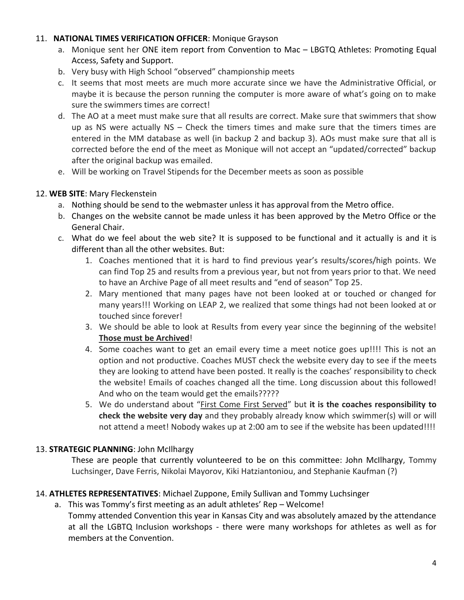#### 11. **NATIONAL TIMES VERIFICATION OFFICER**: Monique Grayson

- a. Monique sent her ONE item report from Convention to Mac LBGTQ Athletes: Promoting Equal Access, Safety and Support.
- b. Very busy with High School "observed" championship meets
- c. It seems that most meets are much more accurate since we have the Administrative Official, or maybe it is because the person running the computer is more aware of what's going on to make sure the swimmers times are correct!
- d. The AO at a meet must make sure that all results are correct. Make sure that swimmers that show up as NS were actually NS – Check the timers times and make sure that the timers times are entered in the MM database as well (in backup 2 and backup 3). AOs must make sure that all is corrected before the end of the meet as Monique will not accept an "updated/corrected" backup after the original backup was emailed.
- e. Will be working on Travel Stipends for the December meets as soon as possible

#### 12. **WEB SITE**: Mary Fleckenstein

- a. Nothing should be send to the webmaster unless it has approval from the Metro office.
- b. Changes on the website cannot be made unless it has been approved by the Metro Office or the General Chair.
- c. What do we feel about the web site? It is supposed to be functional and it actually is and it is different than all the other websites. But:
	- 1. Coaches mentioned that it is hard to find previous year's results/scores/high points. We can find Top 25 and results from a previous year, but not from years prior to that. We need to have an Archive Page of all meet results and "end of season" Top 25.
	- 2. Mary mentioned that many pages have not been looked at or touched or changed for many years!!! Working on LEAP 2, we realized that some things had not been looked at or touched since forever!
	- 3. We should be able to look at Results from every year since the beginning of the website! **Those must be Archived**!
	- 4. Some coaches want to get an email every time a meet notice goes up!!!! This is not an option and not productive. Coaches MUST check the website every day to see if the meets they are looking to attend have been posted. It really is the coaches' responsibility to check the website! Emails of coaches changed all the time. Long discussion about this followed! And who on the team would get the emails?????
	- 5. We do understand about "First Come First Served" but **it is the coaches responsibility to check the website very day** and they probably already know which swimmer(s) will or will not attend a meet! Nobody wakes up at 2:00 am to see if the website has been updated!!!!

# 13. **STRATEGIC PLANNING**: John McIlhargy

These are people that currently volunteered to be on this committee: John McIlhargy, Tommy Luchsinger, Dave Ferris, Nikolai Mayorov, Kiki Hatziantoniou, and Stephanie Kaufman (?)

# 14. **ATHLETES REPRESENTATIVES**: Michael Zuppone, Emily Sullivan and Tommy Luchsinger

a. This was Tommy's first meeting as an adult athletes' Rep – Welcome! Tommy attended Convention this year in Kansas City and was absolutely amazed by the attendance at all the LGBTQ Inclusion workshops - there were many workshops for athletes as well as for members at the Convention.